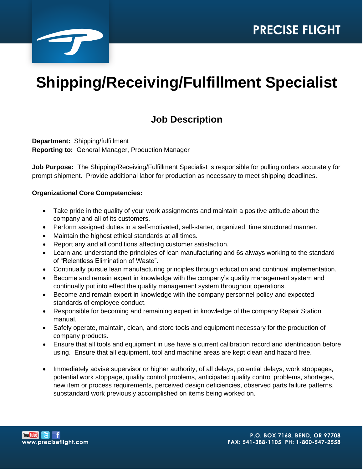

# **Shipping/Receiving/Fulfillment Specialist**

# **Job Description**

**Department:** Shipping/fulfillment **Reporting to:** General Manager, Production Manager

**Job Purpose:** The Shipping/Receiving/Fulfillment Specialist is responsible for pulling orders accurately for prompt shipment. Provide additional labor for production as necessary to meet shipping deadlines.

#### **Organizational Core Competencies:**

- Take pride in the quality of your work assignments and maintain a positive attitude about the company and all of its customers.
- Perform assigned duties in a self-motivated, self-starter, organized, time structured manner.
- Maintain the highest ethical standards at all times.
- Report any and all conditions affecting customer satisfaction.
- Learn and understand the principles of lean manufacturing and 6s always working to the standard of "Relentless Elimination of Waste".
- Continually pursue lean manufacturing principles through education and continual implementation.
- Become and remain expert in knowledge with the company's quality management system and continually put into effect the quality management system throughout operations.
- Become and remain expert in knowledge with the company personnel policy and expected standards of employee conduct.
- Responsible for becoming and remaining expert in knowledge of the company Repair Station manual.
- Safely operate, maintain, clean, and store tools and equipment necessary for the production of company products.
- Ensure that all tools and equipment in use have a current calibration record and identification before using. Ensure that all equipment, tool and machine areas are kept clean and hazard free.
- Immediately advise supervisor or higher authority, of all delays, potential delays, work stoppages, potential work stoppage, quality control problems, anticipated quality control problems, shortages, new item or process requirements, perceived design deficiencies, observed parts failure patterns, substandard work previously accomplished on items being worked on.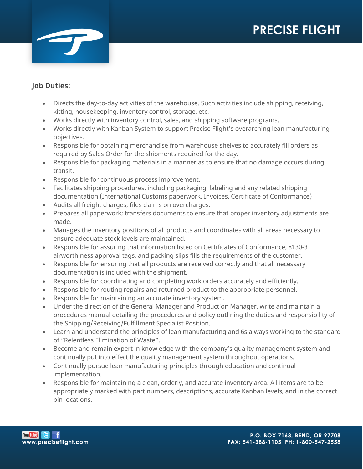

### **Job Duties:**

- Directs the day-to-day activities of the warehouse. Such activities include shipping, receiving, kitting, housekeeping, inventory control, storage, etc.
- Works directly with inventory control, sales, and shipping software programs.
- Works directly with Kanban System to support Precise Flight's overarching lean manufacturing objectives.
- Responsible for obtaining merchandise from warehouse shelves to accurately fill orders as required by Sales Order for the shipments required for the day.
- Responsible for packaging materials in a manner as to ensure that no damage occurs during transit.
- Responsible for continuous process improvement.
- Facilitates shipping procedures, including packaging, labeling and any related shipping documentation (International Customs paperwork, Invoices, Certificate of Conformance)
- Audits all freight charges; files claims on overcharges.
- Prepares all paperwork; transfers documents to ensure that proper inventory adjustments are made.
- Manages the inventory positions of all products and coordinates with all areas necessary to ensure adequate stock levels are maintained.
- Responsible for assuring that information listed on Certificates of Conformance, 8130-3 airworthiness approval tags, and packing slips fills the requirements of the customer.
- Responsible for ensuring that all products are received correctly and that all necessary documentation is included with the shipment.
- Responsible for coordinating and completing work orders accurately and efficiently.
- Responsible for routing repairs and returned product to the appropriate personnel.
- Responsible for maintaining an accurate inventory system.
- Under the direction of the General Manager and Production Manager, write and maintain a procedures manual detailing the procedures and policy outlining the duties and responsibility of the Shipping/Receiving/Fulfillment Specialist Position.
- Learn and understand the principles of lean manufacturing and 6s always working to the standard of "Relentless Elimination of Waste".
- Become and remain expert in knowledge with the company's quality management system and continually put into effect the quality management system throughout operations.
- Continually pursue lean manufacturing principles through education and continual implementation.
- Responsible for maintaining a clean, orderly, and accurate inventory area. All items are to be appropriately marked with part numbers, descriptions, accurate Kanban levels, and in the correct bin locations.